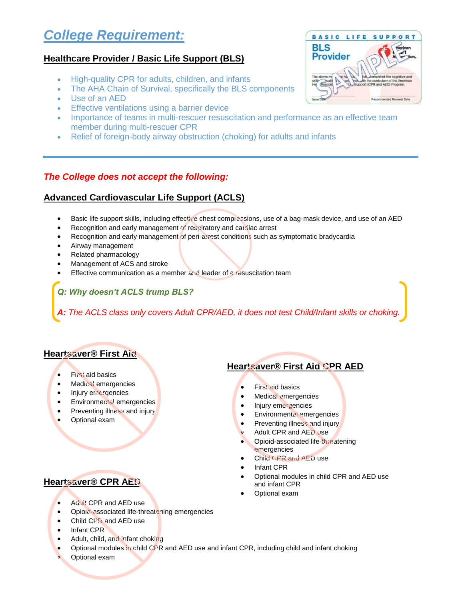# *College Requirement:*

#### **Healthcare Provider / Basic Life Support (BLS)**

- High-quality CPR for adults, children, and infants
- The AHA Chain of Survival, specifically the BLS components
- Use of an AED
- **Effective ventilations using a barrier device**
- Importance of teams in multi-rescuer resuscitation and performance as an effective team member during multi-rescuer CPR
- Relief of foreign-body airway obstruction (choking) for adults and infants

#### *The College does not accept the following:*

#### **Advanced Cardiovascular Life Support (ACLS)**

- **Basic life support skills, including effective chest compressions, use of a bag-mask device, and use of an AED**
- **•** Recognition and early management of respiratory and cardiac arrest
- Recognition and early management of peri-arrest conditions such as symptomatic bradycardia
- Airway management
- Related pharmacology
- Management of ACS and stroke
- Effective communication as a member and leader of a resuscitation team

*Q: Why doesn't ACLS trump BLS?*

*A: The ACLS class only covers Adult CPR/AED, it does not test Child/Infant skills or choking.* 

#### **Heartsaver® First Aid**

- **•** First aid basics
- **•** Medical emergencies
- Injury emergencies
- Environmental emergencies
- Preventing illness and injury
- Optional exam

#### **Heartsaver® CPR AED**

#### **Heartsaver® First Aid CPR AED**

- First aid basics
- **•** Medical emergencies
- Injury emergencies
- Environmental emergencies
- Preventing illness and injury
- Adult CPR and AED use
- Opioid-associated life-threatening emergencies
- Child CPR and AED use
- Infant CPR
- Optional modules in child CPR and AED use and infant CPR
- Optional exam

- Adult CPR and AED use
- Opioid-associated life-threatening emergencies
- Child CPR and AED use
- Infant CPR
- Adult, child, and infant choking
- Optional modules in child CPR and AED use and infant CPR, including child and infant choking
- Optional exam